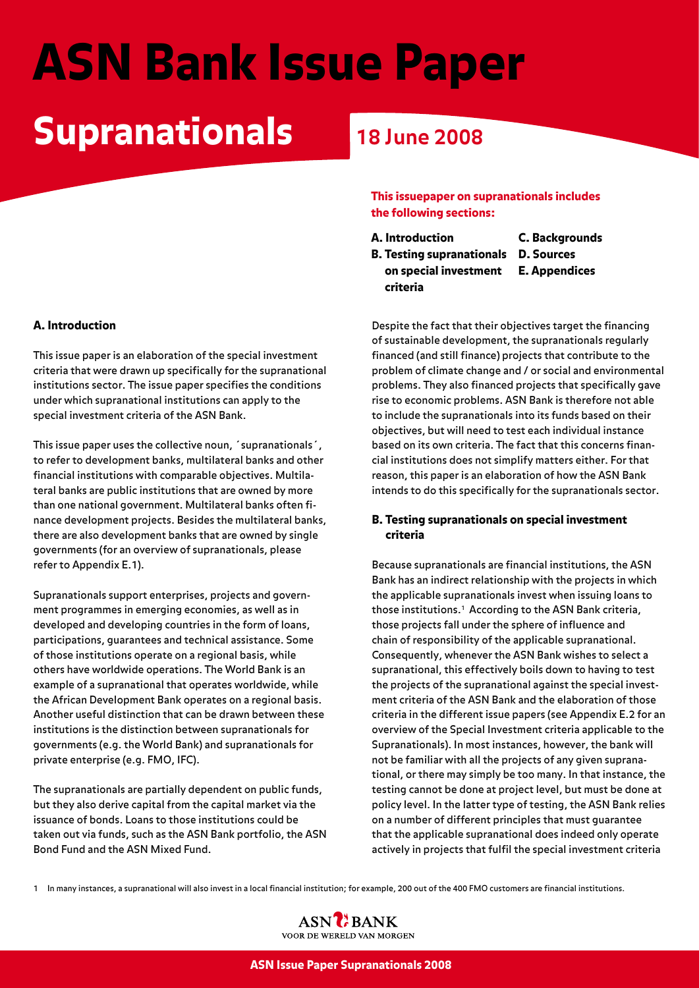# ASN Bank Issue Paper

# Supranationals **18 June 2008**

#### A. Introduction

This issue paper is an elaboration of the special investment criteria that were drawn up specifically for the supranational institutions sector. The issue paper specifies the conditions under which supranational institutions can apply to the special investment criteria of the ASN Bank.

This issue paper uses the collective noun, ´supranationals´, to refer to development banks, multilateral banks and other financial institutions with comparable objectives. Multilateral banks are public institutions that are owned by more than one national government. Multilateral banks often finance development projects. Besides the multilateral banks, there are also development banks that are owned by single governments (for an overview of supranationals, please refer to Appendix E.1).

Supranationals support enterprises, projects and government programmes in emerging economies, as well as in developed and developing countries in the form of loans, participations, guarantees and technical assistance. Some of those institutions operate on a regional basis, while others have worldwide operations. The World Bank is an example of a supranational that operates worldwide, while the African Development Bank operates on a regional basis. Another useful distinction that can be drawn between these institutions is the distinction between supranationals for governments (e.g. the World Bank) and supranationals for private enterprise (e.g. FMO, IFC).

The supranationals are partially dependent on public funds, but they also derive capital from the capital market via the issuance of bonds. Loans to those institutions could be taken out via funds, such as the ASN Bank portfolio, the ASN Bond Fund and the ASN Mixed Fund.

This issuepaper on supranationals includes the following sections:

- A. Introduction
- C. Backgrounds
- B. Testing supranationals on special investment criteria D. Sources E. Appendices

Despite the fact that their objectives target the financing of sustainable development, the supranationals regularly financed (and still finance) projects that contribute to the problem of climate change and / or social and environmental problems. They also financed projects that specifically gave rise to economic problems. ASN Bank is therefore not able to include the supranationals into its funds based on their objectives, but will need to test each individual instance based on its own criteria. The fact that this concerns financial institutions does not simplify matters either. For that reason, this paper is an elaboration of how the ASN Bank intends to do this specifically for the supranationals sector.

#### B. Testing supranationals on special investment criteria

Because supranationals are financial institutions, the ASN Bank has an indirect relationship with the projects in which the applicable supranationals invest when issuing loans to those institutions.1 According to the ASN Bank criteria, those projects fall under the sphere of influence and chain of responsibility of the applicable supranational. Consequently, whenever the ASN Bank wishes to select a supranational, this effectively boils down to having to test the projects of the supranational against the special investment criteria of the ASN Bank and the elaboration of those criteria in the different issue papers (see Appendix E.2 for an overview of the Special Investment criteria applicable to the Supranationals). In most instances, however, the bank will not be familiar with all the projects of any given supranational, or there may simply be too many. In that instance, the testing cannot be done at project level, but must be done at policy level. In the latter type of testing, the ASN Bank relies on a number of different principles that must guarantee that the applicable supranational does indeed only operate actively in projects that fulfil the special investment criteria

1 In many instances, a supranational will also invest in a local financial institution; for example, 200 out of the 400 FMO customers are financial institutions.

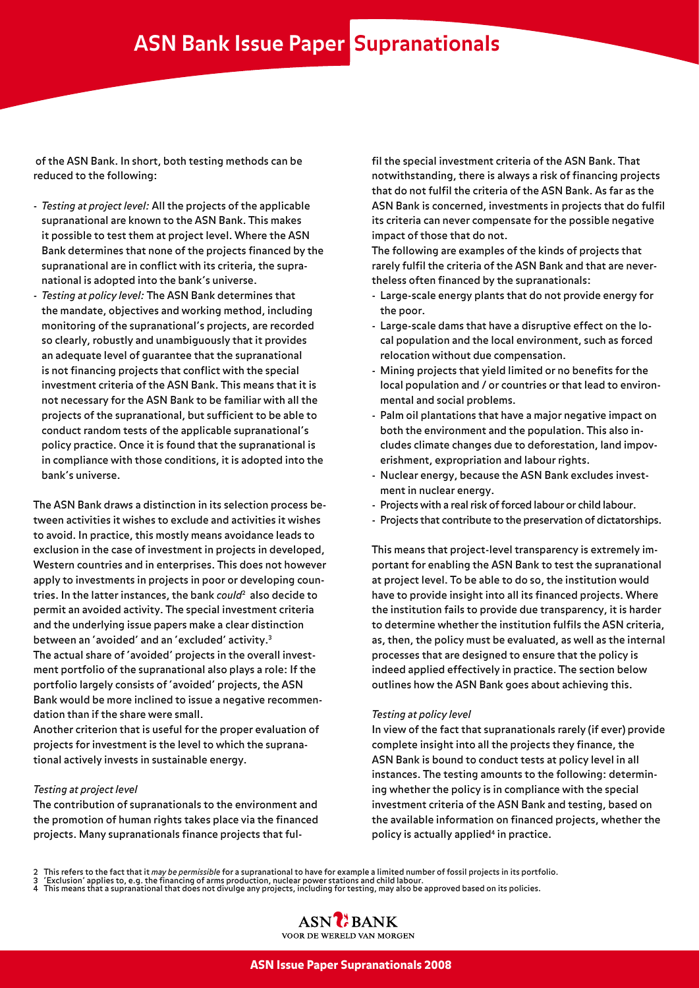of the ASN Bank. In short, both testing methods can be reduced to the following:

- *Testing at project level:* All the projects of the applicable supranational are known to the ASN Bank. This makes it possible to test them at project level. Where the ASN Bank determines that none of the projects financed by the supranational are in conflict with its criteria, the supranational is adopted into the bank's universe.
- *Testing at policy level:* The ASN Bank determines that the mandate, objectives and working method, including monitoring of the supranational's projects, are recorded so clearly, robustly and unambiguously that it provides an adequate level of guarantee that the supranational is not financing projects that conflict with the special investment criteria of the ASN Bank. This means that it is not necessary for the ASN Bank to be familiar with all the projects of the supranational, but sufficient to be able to conduct random tests of the applicable supranational's policy practice. Once it is found that the supranational is in compliance with those conditions, it is adopted into the bank's universe.

The ASN Bank draws a distinction in its selection process between activities it wishes to exclude and activities it wishes to avoid. In practice, this mostly means avoidance leads to exclusion in the case of investment in projects in developed, Western countries and in enterprises. This does not however apply to investments in projects in poor or developing countries. In the latter instances, the bank *could*2 also decide to permit an avoided activity. The special investment criteria and the underlying issue papers make a clear distinction between an 'avoided' and an 'excluded' activity.3 The actual share of 'avoided' projects in the overall investment portfolio of the supranational also plays a role: If the portfolio largely consists of 'avoided' projects, the ASN Bank would be more inclined to issue a negative recommendation than if the share were small.

Another criterion that is useful for the proper evaluation of projects for investment is the level to which the supranational actively invests in sustainable energy.

#### *Testing at project level*

The contribution of supranationals to the environment and the promotion of human rights takes place via the financed projects. Many supranationals finance projects that fulfil the special investment criteria of the ASN Bank. That notwithstanding, there is always a risk of financing projects that do not fulfil the criteria of the ASN Bank. As far as the ASN Bank is concerned, investments in projects that do fulfil its criteria can never compensate for the possible negative impact of those that do not.

The following are examples of the kinds of projects that rarely fulfil the criteria of the ASN Bank and that are nevertheless often financed by the supranationals:

- Large-scale energy plants that do not provide energy for the poor.
- Large-scale dams that have a disruptive effect on the local population and the local environment, such as forced relocation without due compensation.
- Mining projects that yield limited or no benefits for the local population and / or countries or that lead to environmental and social problems.
- Palm oil plantations that have a major negative impact on both the environment and the population. This also includes climate changes due to deforestation, land impoverishment, expropriation and labour rights.
- Nuclear energy, because the ASN Bank excludes investment in nuclear energy.
- Projects with a real risk of forced labour or child labour.
- Projects that contribute to the preservation of dictatorships.

This means that project-level transparency is extremely important for enabling the ASN Bank to test the supranational at project level. To be able to do so, the institution would have to provide insight into all its financed projects. Where the institution fails to provide due transparency, it is harder to determine whether the institution fulfils the ASN criteria, as, then, the policy must be evaluated, as well as the internal processes that are designed to ensure that the policy is indeed applied effectively in practice. The section below outlines how the ASN Bank goes about achieving this.

#### *Testing at policy level*

In view of the fact that supranationals rarely (if ever) provide complete insight into all the projects they finance, the ASN Bank is bound to conduct tests at policy level in all instances. The testing amounts to the following: determining whether the policy is in compliance with the special investment criteria of the ASN Bank and testing, based on the available information on financed projects, whether the policy is actually applied<sup>4</sup> in practice.

2 This refers to the fact that it *may be permissible* for a supranational to have for example a limited number of fossil projects in its portfolio.<br>3 'Exclusion' applies to, e.g. the financing of arms production, nucl

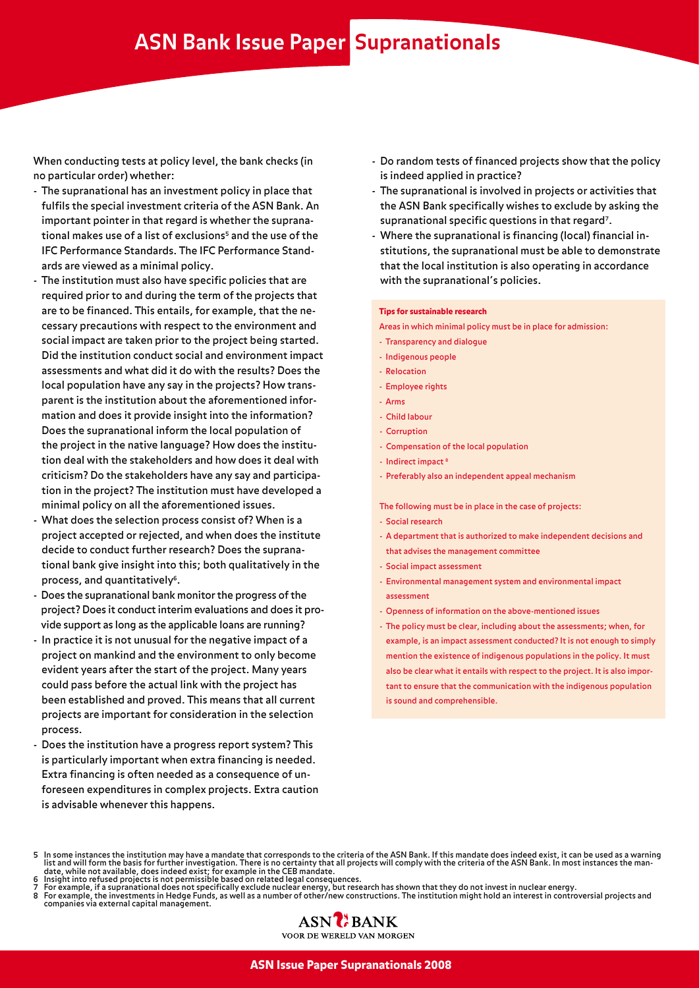## **ASN Bank Issue Paper Supranationals**

When conducting tests at policy level, the bank checks (in no particular order) whether:

- The supranational has an investment policy in place that fulfils the special investment criteria of the ASN Bank. An important pointer in that regard is whether the supranational makes use of a list of exclusions<sup>5</sup> and the use of the IFC Performance Standards. The IFC Performance Standards are viewed as a minimal policy.
- The institution must also have specific policies that are required prior to and during the term of the projects that are to be financed. This entails, for example, that the necessary precautions with respect to the environment and social impact are taken prior to the project being started. Did the institution conduct social and environment impact assessments and what did it do with the results? Does the local population have any say in the projects? How transparent is the institution about the aforementioned information and does it provide insight into the information? Does the supranational inform the local population of the project in the native language? How does the institution deal with the stakeholders and how does it deal with criticism? Do the stakeholders have any say and participation in the project? The institution must have developed a minimal policy on all the aforementioned issues.
- What does the selection process consist of? When is a project accepted or rejected, and when does the institute decide to conduct further research? Does the supranational bank give insight into this; both qualitatively in the process, and quantitatively<sup>6</sup>.
- Does the supranational bank monitor the progress of the project? Does it conduct interim evaluations and does it provide support as long as the applicable loans are running?
- In practice it is not unusual for the negative impact of a project on mankind and the environment to only become evident years after the start of the project. Many years could pass before the actual link with the project has been established and proved. This means that all current projects are important for consideration in the selection process.
- Does the institution have a progress report system? This is particularly important when extra financing is needed. Extra financing is often needed as a consequence of unforeseen expenditures in complex projects. Extra caution is advisable whenever this happens.
- Do random tests of financed projects show that the policy is indeed applied in practice?
- The supranational is involved in projects or activities that the ASN Bank specifically wishes to exclude by asking the supranational specific questions in that regard<sup>7</sup>.
- Where the supranational is financing (local) financial institutions, the supranational must be able to demonstrate that the local institution is also operating in accordance with the supranational's policies.

#### Tips for sustainable research

- Areas in which minimal policy must be in place for admission:
- Transparency and dialogue
- Indigenous people
- Relocation
- Employee rights
- Arms
- Child labour
- Corruption
- Compensation of the local population
- Indirect impact<sup>8</sup>
- Preferably also an independent appeal mechanism

The following must be in place in the case of projects:

- Social research
- A department that is authorized to make independent decisions and that advises the management committee
- Social impact assessment
- Environmental management system and environmental impact assessment
- Openness of information on the above-mentioned issues
- The policy must be clear, including about the assessments; when, for example, is an impact assessment conducted? It is not enough to simply mention the existence of indigenous populations in the policy. It must also be clear what it entails with respect to the project. It is also important to ensure that the communication with the indigenous population is sound and comprehensible.

- 
- 7 For example, if a supranational does not specifically exclude nuclear energy, but research has shown that they do not invest in nuclear energy.<br>8 For example, the investments in Hedge Funds, as well as a number of ot
- companies via external capital management.



<sup>5</sup> In some instances the institution may have a mandate that corresponds to the criteria of the ASN Bank. If this mandate does indeed exist, it can be used as a warning<br>- list and will form the basis for further investigati date, while not available, does indeed exist; for example in the CEB mandate.<br>6 Insight into refused projects is not permissible based on related legal consequences.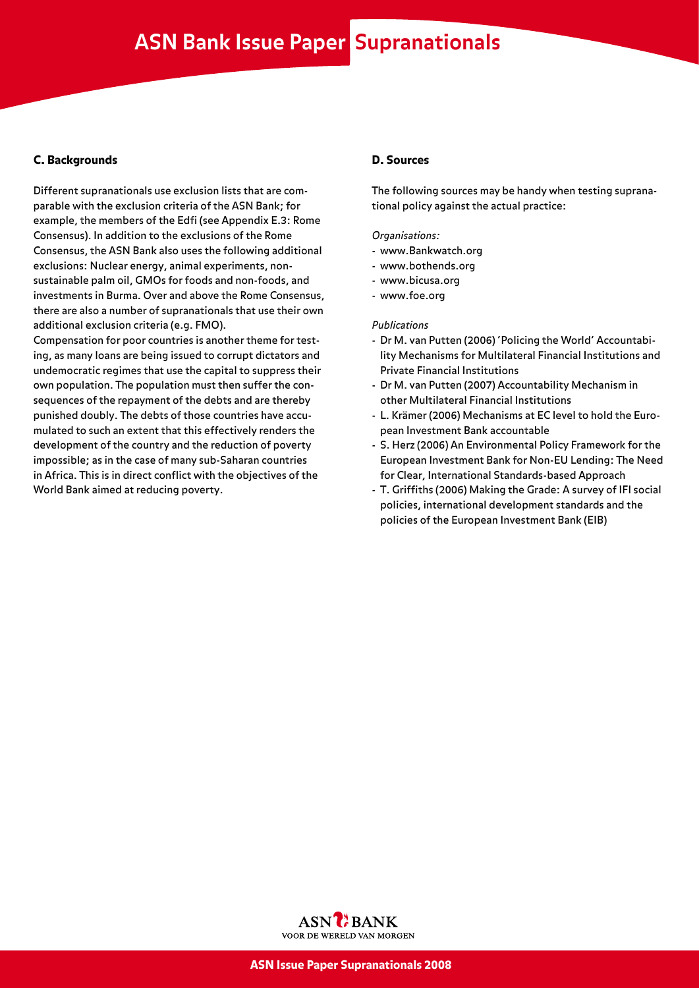#### C. Backgrounds

Different supranationals use exclusion lists that are comparable with the exclusion criteria of the ASN Bank; for example, the members of the Edfi (see Appendix E.3: Rome Consensus). In addition to the exclusions of the Rome Consensus, the ASN Bank also uses the following additional exclusions: Nuclear energy, animal experiments, nonsustainable palm oil, GMOs for foods and non-foods, and investments in Burma. Over and above the Rome Consensus, there are also a number of supranationals that use their own additional exclusion criteria (e.g. FMO).

Compensation for poor countries is another theme for testing, as many loans are being issued to corrupt dictators and undemocratic regimes that use the capital to suppress their own population. The population must then suffer the consequences of the repayment of the debts and are thereby punished doubly. The debts of those countries have accumulated to such an extent that this effectively renders the development of the country and the reduction of poverty impossible; as in the case of many sub-Saharan countries in Africa. This is in direct conflict with the objectives of the World Bank aimed at reducing poverty.

#### D. Sources

The following sources may be handy when testing supranational policy against the actual practice:

*Organisations:*

- www.Bankwatch.org
- www.bothends.org
- www.bicusa.org
- www.foe.org

#### *Publications*

- Dr M. van Putten (2006) 'Policing the World' Accountability Mechanisms for Multilateral Financial Institutions and Private Financial Institutions
- Dr M. van Putten (2007) Accountability Mechanism in other Multilateral Financial Institutions
- L. Krämer (2006) Mechanisms at EC level to hold the European Investment Bank accountable
- S. Herz (2006) An Environmental Policy Framework for the European Investment Bank for Non-EU Lending: The Need for Clear, International Standards-based Approach
- T. Griffiths (2006) Making the Grade: A survey of IFI social policies, international development standards and the policies of the European Investment Bank (EIB)

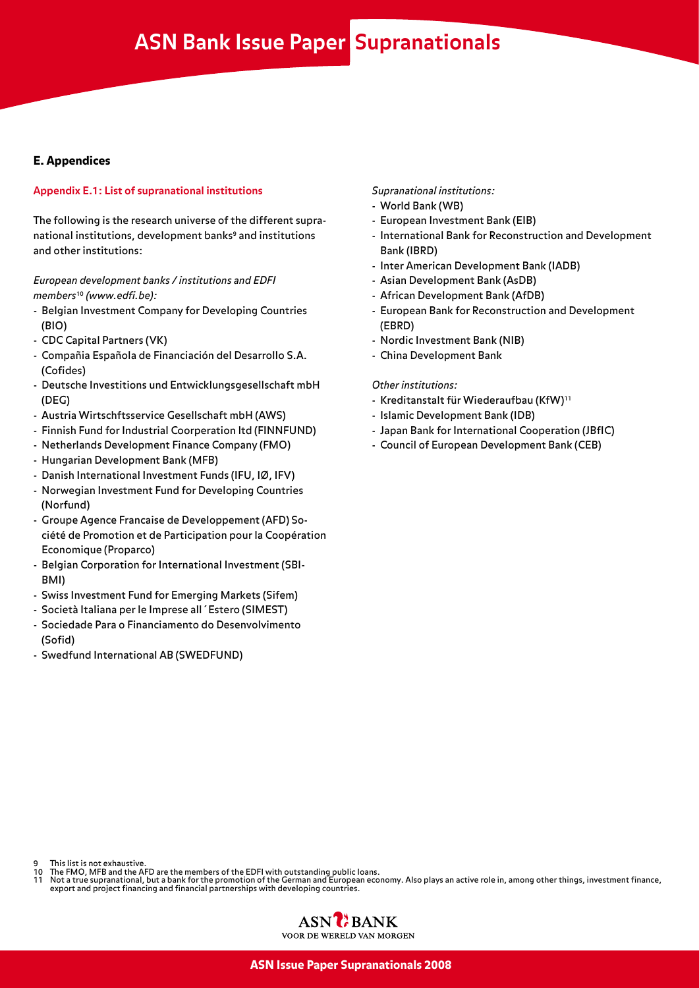### **ASN Bank Issue Paper Supranationals**

#### E. Appendices

#### **Appendix E.1: List of supranational institutions**

The following is the research universe of the different supranational institutions, development banks<sup>9</sup> and institutions and other institutions:

#### *European development banks / institutions and EDFI members*<sup>10</sup> *(www.edfi.be):*

- Belgian Investment Company for Developing Countries (BIO)
- CDC Capital Partners (VK)
- Compañia Española de Financiación del Desarrollo S.A. (Cofides)
- Deutsche Investitions und Entwicklungsgesellschaft mbH (DEG)
- Austria Wirtschftsservice Gesellschaft mbH (AWS)
- Finnish Fund for Industrial Coorperation ltd (FINNFUND)
- Netherlands Development Finance Company (FMO)
- Hungarian Development Bank (MFB)
- Danish International Investment Funds (IFU, IØ, IFV)
- Norwegian Investment Fund for Developing Countries (Norfund)
- Groupe Agence Francaise de Developpement (AFD) Société de Promotion et de Participation pour la Coopération Economique (Proparco)
- Belgian Corporation for International Investment (SBI-BMI)
- Swiss Investment Fund for Emerging Markets (Sifem)
- Società Italiana per le Imprese all´Estero (SIMEST)
- Sociedade Para o Financiamento do Desenvolvimento (Sofid)
- Swedfund International AB (SWEDFUND)

#### *Supranational institutions:*

- World Bank (WB)
- European Investment Bank (EIB)
- International Bank for Reconstruction and Development Bank (IBRD)
- Inter American Development Bank (IADB)
- Asian Development Bank (AsDB)
- African Development Bank (AfDB)
- European Bank for Reconstruction and Development (EBRD)
- Nordic Investment Bank (NIB)
- China Development Bank

#### *Other institutions:*

- Kreditanstalt für Wiederaufbau (KfW)<sup>11</sup>
- Islamic Development Bank (IDB)
- Japan Bank for International Cooperation (JBfIC)
- Council of European Development Bank (CEB)

- This list is not exhaustive.
- 
- 10 The FMO, MFB and the AFD are the members of the EDFI with outstanding public loans.<br>11 Not a true supranational, but a bank for the promotion of the German and European economy. Also plays an active role in, among other

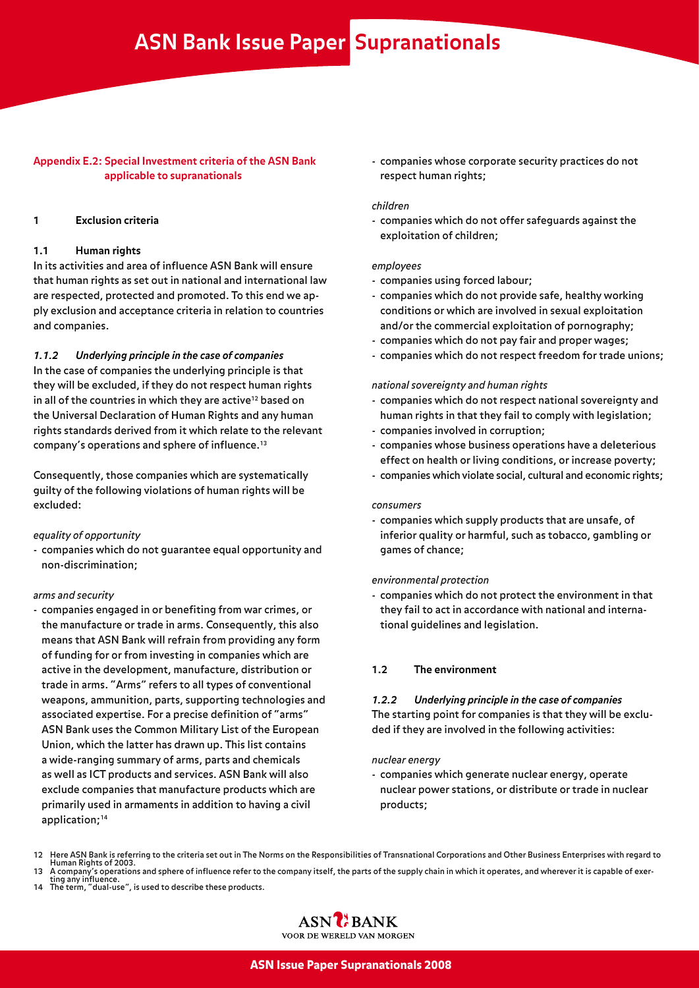#### **Appendix E.2: Special Investment criteria of the ASN Bank applicable to supranationals**

#### **1 Exclusion criteria**

#### **1.1 Human rights**

In its activities and area of influence ASN Bank will ensure that human rights as set out in national and international law are respected, protected and promoted. To this end we apply exclusion and acceptance criteria in relation to countries and companies.

*1.1.2 Underlying principle in the case of companies*

In the case of companies the underlying principle is that they will be excluded, if they do not respect human rights in all of the countries in which they are active<sup>12</sup> based on the Universal Declaration of Human Rights and any human rights standards derived from it which relate to the relevant company's operations and sphere of influence.13

Consequently, those companies which are systematically guilty of the following violations of human rights will be excluded:

*equality of opportunity*

- companies which do not guarantee equal opportunity and non-discrimination;

#### *arms and security*

- companies engaged in or benefiting from war crimes, or the manufacture or trade in arms. Consequently, this also means that ASN Bank will refrain from providing any form of funding for or from investing in companies which are active in the development, manufacture, distribution or trade in arms. "Arms" refers to all types of conventional weapons, ammunition, parts, supporting technologies and associated expertise. For a precise definition of "arms" ASN Bank uses the Common Military List of the European Union, which the latter has drawn up. This list contains a wide-ranging summary of arms, parts and chemicals as well as ICT products and services. ASN Bank will also exclude companies that manufacture products which are primarily used in armaments in addition to having a civil application;<sup>14</sup>

- companies whose corporate security practices do not respect human rights;

#### *children*

- companies which do not offer safeguards against the exploitation of children;

#### *employees*

- companies using forced labour;
- companies which do not provide safe, healthy working conditions or which are involved in sexual exploitation and/or the commercial exploitation of pornography;
- companies which do not pay fair and proper wages;
- companies which do not respect freedom for trade unions;

#### *national sovereignty and human rights*

- companies which do not respect national sovereignty and human rights in that they fail to comply with legislation;
- companies involved in corruption;
- companies whose business operations have a deleterious effect on health or living conditions, or increase poverty;
- companies which violate social, cultural and economic rights;

#### *consumers*

- companies which supply products that are unsafe, of inferior quality or harmful, such as tobacco, gambling or games of chance;

#### *environmental protection*

- companies which do not protect the environment in that they fail to act in accordance with national and international guidelines and legislation.

#### **1.2 The environment**

#### *1.2.2 Underlying principle in the case of companies* The starting point for companies is that they will be excluded if they are involved in the following activities:

#### *nuclear energy*

- companies which generate nuclear energy, operate nuclear power stations, or distribute or trade in nuclear products;
- 12 Here ASN Bank is referring to the criteria set out in The Norms on the Responsibilities of Transnational Corporations and Other Business Enterprises with regard to Human Rights of 2003.
- 13 A company's operations and sphere of influence refer to the company itself, the parts of the supply chain in which it operates, and wherever it is capable of exer-<br>13 A company's operations and sphere of influence refer
- 14 The term, "dual-use", is used to describe these products.

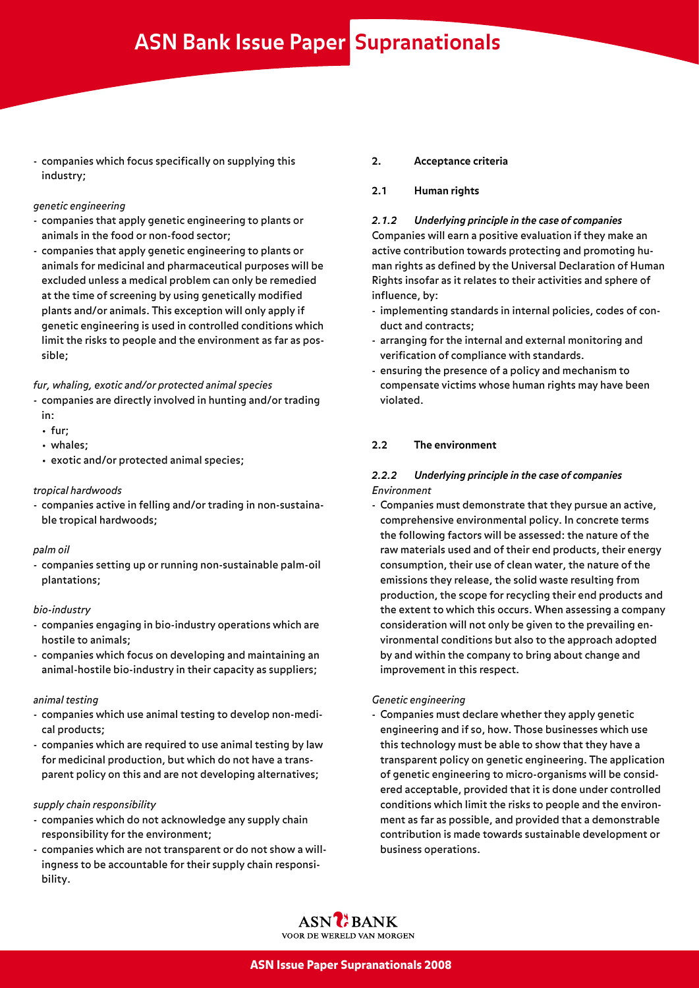- companies which focus specifically on supplying this industry;

#### *genetic engineering*

- companies that apply genetic engineering to plants or animals in the food or non-food sector;
- companies that apply genetic engineering to plants or animals for medicinal and pharmaceutical purposes will be excluded unless a medical problem can only be remedied at the time of screening by using genetically modified plants and/or animals. This exception will only apply if genetic engineering is used in controlled conditions which limit the risks to people and the environment as far as possible;

#### *fur, whaling, exotic and/or protected animal species*

- companies are directly involved in hunting and/or trading in:
	- fur;
	- whales;
	- exotic and/or protected animal species;

#### *tropical hardwoods*

- companies active in felling and/or trading in non-sustainable tropical hardwoods;

#### *palm oil*

- companies setting up or running non-sustainable palm-oil plantations;

#### *bio-industry*

- companies engaging in bio-industry operations which are hostile to animals;
- companies which focus on developing and maintaining an animal-hostile bio-industry in their capacity as suppliers;

#### *animal testing*

- companies which use animal testing to develop non-medical products;
- companies which are required to use animal testing by law for medicinal production, but which do not have a transparent policy on this and are not developing alternatives;

#### *supply chain responsibility*

- companies which do not acknowledge any supply chain responsibility for the environment;
- companies which are not transparent or do not show a willingness to be accountable for their supply chain responsibility.

#### **2. Acceptance criteria**

#### **2.1 Human rights**

*2.1.2 Underlying principle in the case of companies* Companies will earn a positive evaluation if they make an active contribution towards protecting and promoting human rights as defined by the Universal Declaration of Human Rights insofar as it relates to their activities and sphere of influence, by:

- implementing standards in internal policies, codes of conduct and contracts;
- arranging for the internal and external monitoring and verification of compliance with standards.
- ensuring the presence of a policy and mechanism to compensate victims whose human rights may have been violated.

#### **2.2 The environment**

#### *2.2.2 Underlying principle in the case of companies Environment*

- Companies must demonstrate that they pursue an active, comprehensive environmental policy. In concrete terms the following factors will be assessed: the nature of the raw materials used and of their end products, their energy consumption, their use of clean water, the nature of the emissions they release, the solid waste resulting from production, the scope for recycling their end products and the extent to which this occurs. When assessing a company consideration will not only be given to the prevailing environmental conditions but also to the approach adopted by and within the company to bring about change and improvement in this respect.

#### *Genetic engineering*

- Companies must declare whether they apply genetic engineering and if so, how. Those businesses which use this technology must be able to show that they have a transparent policy on genetic engineering. The application of genetic engineering to micro-organisms will be considered acceptable, provided that it is done under controlled conditions which limit the risks to people and the environment as far as possible, and provided that a demonstrable contribution is made towards sustainable development or business operations.